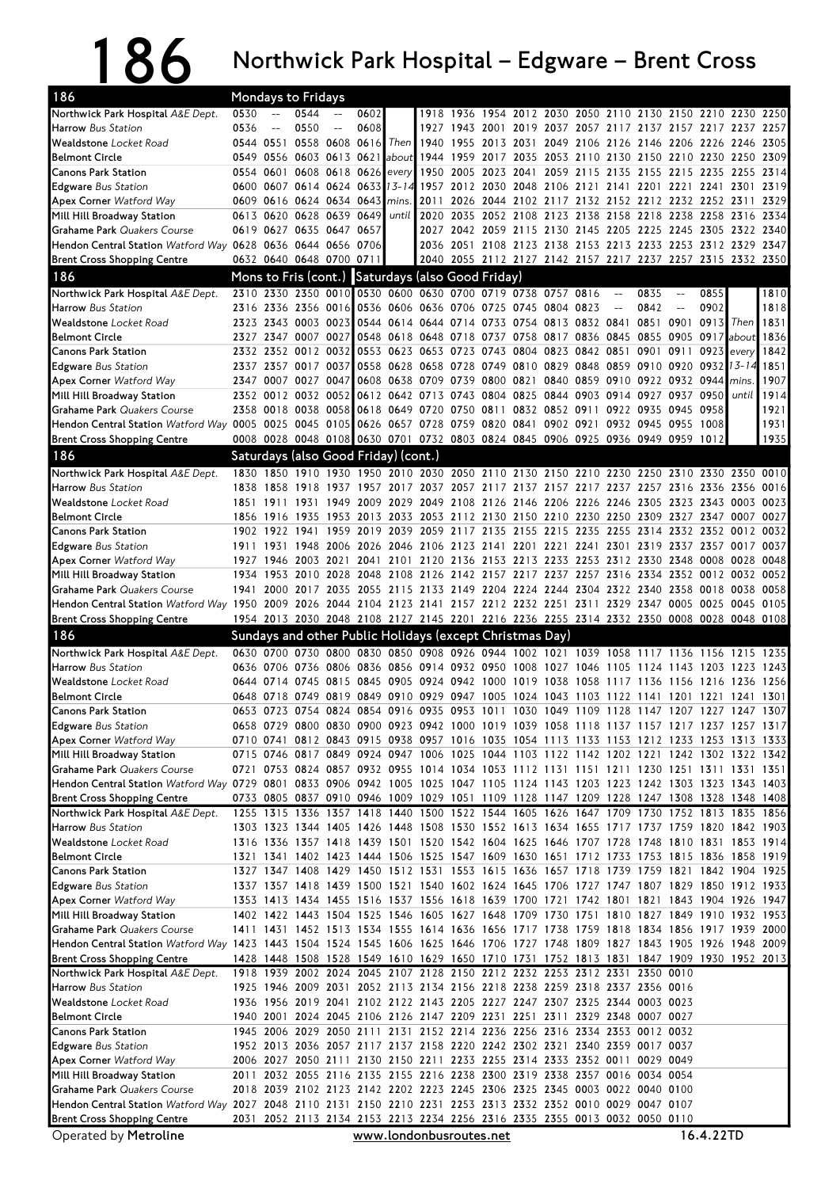## 186 Northwick Park Hospital – Edgware – Brent Cross

| 0530<br>0544<br>0602<br>1954<br>2030 2050<br>2110 2130 2150 2210 2230<br>2250<br>1918 1936<br>2012<br>0550<br>0536<br>0608<br>1943<br>2019<br>2257<br>1927<br>2001<br>2037<br>2057 2117 2137 2157 2217 2237<br>$-$<br>0544 0551<br>0558 0608 0616<br><b>Then</b><br>1940 1955<br>2031<br>2049 2106<br>2126<br>2305<br>2013<br>2146 2206 2226 2246<br>1944 1959<br>2309<br>0549<br>0556<br>0603 0613 0621<br>about<br>2017<br>2035 2053 2110<br>2130 2150 2210 2230 2250<br>0554 0601<br>0608 0618 0626<br>1950<br>2155 2215 2235 2255<br>2314<br><b>Canons Park Station</b><br>2005 2023<br>2041<br>2059 2115<br>2135<br>every<br>13-14<br>2319<br><b>Edgware</b> Bus Station<br>0600 0607<br>0614 0624<br>0633<br>1957<br>2012<br>2030<br>2048<br>2106 2121<br>2141 2201 2221 2241 2301<br>0609 0616 0624 0634 0643<br>2329<br><b>Apex Corner Watford Way</b><br>2011<br>2026 2044 2102 2117 2132 2152 2212 2232 2252 2311<br>mins.<br>0628 0639 0649<br>2035 2052 2108 2123 2138<br>2334<br>Mill Hill Broadway Station<br>0613 0620<br>2020<br>2158 2218 2238 2258<br>2316<br>until<br>Grahame Park Quakers Course<br>0619 0627<br>0635 0647<br>0657<br>2027 2042 2059 2115 2130 2145<br>2205 2225 2245 2305<br>2322<br>2340<br>Hendon Central Station Watford Way 0628 0636 0644 0656 0706<br>2036 2051 2108 2123 2138 2153 2213 2233 2253 2312 2329<br>2347<br>0632 0640 0648 0700 0711<br>2040 2055 2112 2127 2142 2157 2217 2237 2257 2315 2332 2350<br>Mons to Fris (cont.) Saturdays (also Good Friday)<br>2310 2330 2350 0010 0530 0600 0630 0700 0719 0738 0757 0816<br>0835<br>0855<br>1810<br>$\overline{\phantom{m}}$<br>$\overline{\phantom{m}}$<br>0902<br>1818<br>2336 2356 0016 0536 0606 0636 0706 0725<br>0745 0804 0823<br>0842<br>2316<br>$-$<br>2343 0003 0023<br>0544<br>0754 0813 0832 0841<br>0851<br>0901<br>0913<br>1831<br>2323<br>0614 0644 0714 0733<br>Then<br>2327 2347 0007 0027<br>0548<br>0618 0648 0718 0737 0758 0817 0836 0845<br>0855<br>0905 0917<br>about<br>1836<br>2332 2352 0012 0032<br>0553<br>0804 0823 0842 0851<br>1842<br><b>Canons Park Station</b><br>0623 0653 0723 0743<br>0901<br>0911 0923<br>every<br>13-14<br>2337 2357 0017<br>0037<br>0558<br>0628 0658 0728 0749 0810 0829 0848 0859 0910 0920 0932<br>1851<br><b>Edgware</b> Bus Station<br>0840 0859<br>0910 0922<br>0932 0944<br>1907<br><b>Apex Corner Watford Way</b><br>2347 0007 0027<br>0047<br>0608<br>0638 0709<br>0739 0800 0821<br>mins.<br>2352 0012 0032 0052<br>0612 0642 0713 0743 0804 0825 0844 0903 0914 0927<br>0937 0950<br>1914<br>Mill Hill Broadway Station<br>until<br>2358 0018 0038<br>0058 0618 0649 0720 0750 0811<br>0832 0852 0911<br>0945 0958<br>1921<br>Grahame Park Quakers Course<br>0922 0935<br>1931<br>Hendon Central Station Watford Way 0005 0025 0045 0105 0626 0657 0728 0759 0820 0841<br>0902 0921<br>0932 0945 0955 1008<br>1935<br>0008 0028 0048 0108 0630 0701 0732 0803 0824 0845 0906 0925 0936 0949 0959 1012<br>Saturdays (also Good Friday) (cont.)<br>1830 1850<br>1910 1930<br>1950 2010 2030 2050 2110 2130 2150 2210 2230 2250 2310 2330 2350 0010<br>1957 2017 2037 2057 2117 2137 2157 2217 2237 2257 2316 2336 2356<br>1838 1858 1918 1937<br>0016<br>2029<br>2049 2108 2126<br>2246 2305<br>2323 2343 0003<br>0023<br>1851 1911<br>1931<br>1949<br>2009<br>2146 2206 2226<br>1953<br>2013<br>2033<br>2053 2112 2130 2150 2210 2230 2250 2309 2327 2347 0007<br>0027<br>1856<br>1916<br>1935<br>2019<br>2059 2117 2135 2155 2215 2235<br>2255<br>2314 2332 2352 0012<br>0032<br><b>Canons Park Station</b><br>1902 1922 1941<br>1959<br>2039<br><b>Edgware</b> Bus Station<br>1948 2006 2026<br>2046 2106 2123 2141 2201 2221 2241 2301 2319 2337 2357 0017<br>0037<br>1911 1931<br>0048<br><b>Apex Corner Watford Way</b><br>2003 2021<br>2041<br>2101<br>2120 2136 2153 2213 2233 2253<br>2312 2330 2348 0008<br>0028<br>1927<br>1946<br>2142 2157 2217 2237 2257 2316<br>0052<br>Mill Hill Broadway Station<br>1934<br>1953<br>2010<br>2028<br>2048<br>2108<br>2126<br>2334<br>2352 0012<br>0032<br>2115 2133 2149 2204 2224 2244 2304 2322 2340 2358 0018<br><b>Grahame Park Quakers Course</b><br>2000 2017 2035 2055<br>0038<br>0058<br>1941<br>Hendon Central Station Watford Way 1950 2009 2026 2044 2104 2123 2141 2157 2212 2232 2251 2311 2329 2347 0005 0025<br>0045<br>0105<br>1954 2013 2030 2048 2108 2127 2145 2201 2216 2236 2255 2314 2332 2350 0008 0028 0048 0108<br>186<br>Sundays and other Public Holidays (except Christmas Day)<br>0630 0700 0730 0800 0830 0850 0908 0926 0944 1002 1021 1039 1058 1117 1136 1156<br>1235<br>1215<br>0636 0706 0736 0806 0836<br>0856 0914 0932 0950 1008 1027 1046 1105<br>1124 1143 1203 1223<br>1243<br>0905 0924 0942 1000 1019 1038 1058<br>0745 0815 0845<br>1256<br>0644 0714<br>1117 1136 1156 1216 1236<br>0648 0718 0749 0819 0849 0910 0929 0947 1005<br>1024 1043 1103<br>1201 1221<br>1301<br>1122 1141<br>1241<br>0653 0723 0754 0824 0854 0916 0935 0953 1011 1030 1049 1109 1128 1147 1207 1227 1247 1307<br>0658 0729 0800 0830 0900 0923 0942 1000 1019 1039 1058 1118 1137 1157 1217 1237 1257 1317<br>0710 0741 0812 0843 0915 0938 0957 1016 1035 1054 1113 1133 1153 1212 1233 1253 1313 1333<br>0715 0746 0817 0849 0924 0947 1006 1025 1044 1103 1122 1142 1202 1221 1242 1302 1322 1342<br>0721 0753 0824 0857 0932 0955 1014 1034 1053 1112 1131 1151 1211 1230 1251 1311 1331 1351<br>Hendon Central Station Watford Way 0729 0801 0833 0906 0942 1005 1025 1047 1105 1124 1143 1203 1223 1242 1303 1323 1343 1403<br>0733 0805 0837 0910 0946 1009 1029 1051 1109 1128 1147 1209 1228 1247 1308 1328 1348 1408<br>1255 1315 1336 1357 1418 1440 1500 1522 1544 1605 1626 1647 1709 1730 1752 1813 1835 1856<br>1303 1323 1344 1405 1426 1448 1508 1530 1552 1613 1634 1655 1717 1737 1759 1820 1842 1903<br>1316 1336 1357 1418 1439 1501 1520 1542 1604 1625 1646 1707 1728 1748 1810 1831 1853 1914<br>1321 1341 1402 1423 1444 1506 1525 1547 1609 1630 1651 1712 1733 1753 1815 1836 1858 1919<br>1327 1347 1408 1429 1450 1512 1531 1553 1615 1636 1657 1718 1739 1759 1821 1842 1904 1925<br>1337 1357 1418 1439 1500 1521 1540 1602 1624 1645 1706 1727 1747 1807 1829 1850 1912 1933 <br>1353 1413 1434 1455 1516 1537 1556 1618 1639 1700 1721 1742 1801 1821 1843 1904 1926 1947<br>1402 1422 1443 1504 1525 1546 1605 1627 1648 1709 1730 1751 1810 1827 1849 1910 1932 1953 <br>Grahame Park Quakers Course<br>1411 1431 1452 1513 1534 1555 1614 1636 1656 1717 1738 1759 1818 1834 1856 1917 1939 2000<br>Hendon Central Station Watford Way 1423 1443 1504 1524 1545 1606 1625 1646 1706 1727 1748 1809 1827 1843 1905 1926 1948 2009<br>1428 1448 1508 1528 1549 1610 1629 1650 1710 1731 1752 1813 1831 1847 1909 1930 1952 2013<br>1918 1939 2002 2024 2045 2107 2128 2150 2212 2232 2253 2312 2331 2350 0010<br>1925 1946 2009 2031 2052 2113 2134 2156 2218 2238 2259 2318 2337 2356 0016<br>1936 1956 2019 2041 2102 2122 2143 2205 2227 2247 2307 2325 2344 0003 0023<br>1940 2001 2024 2045 2106 2126 2147 2209 2231 2251 2311 2329 2348 0007 0027<br>1945 2006 2029 2050 2111 2131 2152 2214 2236 2256 2316 2334 2353 0012 0032<br>1952 2013 2036 2057 2117 2137 2158 2220 2242 2302 2321 2340 2359 0017 0037<br>2006 2027 2050 2111 2130 2150 2211 2233 2255 2314 2333 2352 0011 0029 0049<br>2011 2032 2055 2116 2135 2155 2216 2238 2300 2319 2338 2357 0016 0034 0054<br>2018 2039 2102 2123 2142 2202 2223 2245 2306 2325 2345 0003 0022 0040 0100<br>Hendon Central Station Watford Way 2027 2048 2110 2131 2150 2210 2231 2253 2313 2332 2352 0010 0029 0047 0107<br>2052 2113 2134 2153 2213 2234 2256 2316 2335 2355 0013 0032 0050 0110<br><b>Brent Cross Shopping Centre</b><br>2031<br>16.4.22TD<br>Operated by Metroline<br>www.londonbusroutes.net | 186                                                       | Mondays to Fridays |  |  |  |  |  |  |  |  |  |
|----------------------------------------------------------------------------------------------------------------------------------------------------------------------------------------------------------------------------------------------------------------------------------------------------------------------------------------------------------------------------------------------------------------------------------------------------------------------------------------------------------------------------------------------------------------------------------------------------------------------------------------------------------------------------------------------------------------------------------------------------------------------------------------------------------------------------------------------------------------------------------------------------------------------------------------------------------------------------------------------------------------------------------------------------------------------------------------------------------------------------------------------------------------------------------------------------------------------------------------------------------------------------------------------------------------------------------------------------------------------------------------------------------------------------------------------------------------------------------------------------------------------------------------------------------------------------------------------------------------------------------------------------------------------------------------------------------------------------------------------------------------------------------------------------------------------------------------------------------------------------------------------------------------------------------------------------------------------------------------------------------------------------------------------------------------------------------------------------------------------------------------------------------------------------------------------------------------------------------------------------------------------------------------------------------------------------------------------------------------------------------------------------------------------------------------------------------------------------------------------------------------------------------------------------------------------------------------------------------------------------------------------------------------------------------------------------------------------------------------------------------------------------------------------------------------------------------------------------------------------------------------------------------------------------------------------------------------------------------------------------------------------------------------------------------------------------------------------------------------------------------------------------------------------------------------------------------------------------------------------------------------------------------------------------------------------------------------------------------------------------------------------------------------------------------------------------------------------------------------------------------------------------------------------------------------------------------------------------------------------------------------------------------------------------------------------------------------------------------------------------------------------------------------------------------------------------------------------------------------------------------------------------------------------------------------------------------------------------------------------------------------------------------------------------------------------------------------------------------------------------------------------------------------------------------------------------------------------------------------------------------------------------------------------------------------------------------------------------------------------------------------------------------------------------------------------------------------------------------------------------------------------------------------------------------------------------------------------------------------------------------------------------------------------------------------------------------------------------------------------------------------------------------------------------------------------------------------------------------------------------------------------------------------------------------------------------------------------------------------------------------------------------------------------------------------------------------------------------------------------------------------------------------------------------------------------------------------------------------------------------------------------------------------------------------------------------------------------------------------------------------------------------------------------------------------------------------------------------------------------------------------------------------------------------------------------------------------------------------------------------------------------------------------------------------------------------------------------------------------------------------------------------------------------------------------------------------------------------------------------------------------------------------------------------------------------------------------------------------------------------------------------------------------------------------------------------------------------------------------------------------------------------------------------------------------------------------------------------------------------------------------------------------------------------------------------------------------------------------------------------------------------------------------------------------------------------------------------------------------------------------------------------------------------------------------------------------------------------------------------------------------------------------------------------------------------------------------------------------------------------------------------------------------------------------------------------------------------------------------------------------------------------------------------------------------------------------------------------------------------------------------------------------------------------------------------------------------------------------------------------------------------------------------------------------------------------------------------------------------------------------------------------------------------------------------------------------------------------------------------------------------------------------------------------------------------------------------------------------------------------------------------------------------------------------------------------------------------------------------------------------------------------------------------------------------------------------------------------------------------------------------------------------------------------------------------------------------------------------|-----------------------------------------------------------|--------------------|--|--|--|--|--|--|--|--|--|
|                                                                                                                                                                                                                                                                                                                                                                                                                                                                                                                                                                                                                                                                                                                                                                                                                                                                                                                                                                                                                                                                                                                                                                                                                                                                                                                                                                                                                                                                                                                                                                                                                                                                                                                                                                                                                                                                                                                                                                                                                                                                                                                                                                                                                                                                                                                                                                                                                                                                                                                                                                                                                                                                                                                                                                                                                                                                                                                                                                                                                                                                                                                                                                                                                                                                                                                                                                                                                                                                                                                                                                                                                                                                                                                                                                                                                                                                                                                                                                                                                                                                                                                                                                                                                                                                                                                                                                                                                                                                                                                                                                                                                                                                                                                                                                                                                                                                                                                                                                                                                                                                                                                                                                                                                                                                                                                                                                                                                                                                                                                                                                                                                                                                                                                                                                                                                                                                                                                                                                                                                                                                                                                                                                                                                                                                                                                                                                                                                                                                                                                                                                                                                                                                                                                                                                                                                                                                                                                                                                                                                                                                                                                                                                                                                                                                                                                                                                                                                                                                                                                                                                                                                                                                                                                                                                                                                                                          | Northwick Park Hospital A&E Dept.                         |                    |  |  |  |  |  |  |  |  |  |
|                                                                                                                                                                                                                                                                                                                                                                                                                                                                                                                                                                                                                                                                                                                                                                                                                                                                                                                                                                                                                                                                                                                                                                                                                                                                                                                                                                                                                                                                                                                                                                                                                                                                                                                                                                                                                                                                                                                                                                                                                                                                                                                                                                                                                                                                                                                                                                                                                                                                                                                                                                                                                                                                                                                                                                                                                                                                                                                                                                                                                                                                                                                                                                                                                                                                                                                                                                                                                                                                                                                                                                                                                                                                                                                                                                                                                                                                                                                                                                                                                                                                                                                                                                                                                                                                                                                                                                                                                                                                                                                                                                                                                                                                                                                                                                                                                                                                                                                                                                                                                                                                                                                                                                                                                                                                                                                                                                                                                                                                                                                                                                                                                                                                                                                                                                                                                                                                                                                                                                                                                                                                                                                                                                                                                                                                                                                                                                                                                                                                                                                                                                                                                                                                                                                                                                                                                                                                                                                                                                                                                                                                                                                                                                                                                                                                                                                                                                                                                                                                                                                                                                                                                                                                                                                                                                                                                                                          | <b>Harrow</b> Bus Station                                 |                    |  |  |  |  |  |  |  |  |  |
|                                                                                                                                                                                                                                                                                                                                                                                                                                                                                                                                                                                                                                                                                                                                                                                                                                                                                                                                                                                                                                                                                                                                                                                                                                                                                                                                                                                                                                                                                                                                                                                                                                                                                                                                                                                                                                                                                                                                                                                                                                                                                                                                                                                                                                                                                                                                                                                                                                                                                                                                                                                                                                                                                                                                                                                                                                                                                                                                                                                                                                                                                                                                                                                                                                                                                                                                                                                                                                                                                                                                                                                                                                                                                                                                                                                                                                                                                                                                                                                                                                                                                                                                                                                                                                                                                                                                                                                                                                                                                                                                                                                                                                                                                                                                                                                                                                                                                                                                                                                                                                                                                                                                                                                                                                                                                                                                                                                                                                                                                                                                                                                                                                                                                                                                                                                                                                                                                                                                                                                                                                                                                                                                                                                                                                                                                                                                                                                                                                                                                                                                                                                                                                                                                                                                                                                                                                                                                                                                                                                                                                                                                                                                                                                                                                                                                                                                                                                                                                                                                                                                                                                                                                                                                                                                                                                                                                                          | <b>Wealdstone</b> Locket Road                             |                    |  |  |  |  |  |  |  |  |  |
|                                                                                                                                                                                                                                                                                                                                                                                                                                                                                                                                                                                                                                                                                                                                                                                                                                                                                                                                                                                                                                                                                                                                                                                                                                                                                                                                                                                                                                                                                                                                                                                                                                                                                                                                                                                                                                                                                                                                                                                                                                                                                                                                                                                                                                                                                                                                                                                                                                                                                                                                                                                                                                                                                                                                                                                                                                                                                                                                                                                                                                                                                                                                                                                                                                                                                                                                                                                                                                                                                                                                                                                                                                                                                                                                                                                                                                                                                                                                                                                                                                                                                                                                                                                                                                                                                                                                                                                                                                                                                                                                                                                                                                                                                                                                                                                                                                                                                                                                                                                                                                                                                                                                                                                                                                                                                                                                                                                                                                                                                                                                                                                                                                                                                                                                                                                                                                                                                                                                                                                                                                                                                                                                                                                                                                                                                                                                                                                                                                                                                                                                                                                                                                                                                                                                                                                                                                                                                                                                                                                                                                                                                                                                                                                                                                                                                                                                                                                                                                                                                                                                                                                                                                                                                                                                                                                                                                                          | <b>Belmont Circle</b>                                     |                    |  |  |  |  |  |  |  |  |  |
|                                                                                                                                                                                                                                                                                                                                                                                                                                                                                                                                                                                                                                                                                                                                                                                                                                                                                                                                                                                                                                                                                                                                                                                                                                                                                                                                                                                                                                                                                                                                                                                                                                                                                                                                                                                                                                                                                                                                                                                                                                                                                                                                                                                                                                                                                                                                                                                                                                                                                                                                                                                                                                                                                                                                                                                                                                                                                                                                                                                                                                                                                                                                                                                                                                                                                                                                                                                                                                                                                                                                                                                                                                                                                                                                                                                                                                                                                                                                                                                                                                                                                                                                                                                                                                                                                                                                                                                                                                                                                                                                                                                                                                                                                                                                                                                                                                                                                                                                                                                                                                                                                                                                                                                                                                                                                                                                                                                                                                                                                                                                                                                                                                                                                                                                                                                                                                                                                                                                                                                                                                                                                                                                                                                                                                                                                                                                                                                                                                                                                                                                                                                                                                                                                                                                                                                                                                                                                                                                                                                                                                                                                                                                                                                                                                                                                                                                                                                                                                                                                                                                                                                                                                                                                                                                                                                                                                                          |                                                           |                    |  |  |  |  |  |  |  |  |  |
|                                                                                                                                                                                                                                                                                                                                                                                                                                                                                                                                                                                                                                                                                                                                                                                                                                                                                                                                                                                                                                                                                                                                                                                                                                                                                                                                                                                                                                                                                                                                                                                                                                                                                                                                                                                                                                                                                                                                                                                                                                                                                                                                                                                                                                                                                                                                                                                                                                                                                                                                                                                                                                                                                                                                                                                                                                                                                                                                                                                                                                                                                                                                                                                                                                                                                                                                                                                                                                                                                                                                                                                                                                                                                                                                                                                                                                                                                                                                                                                                                                                                                                                                                                                                                                                                                                                                                                                                                                                                                                                                                                                                                                                                                                                                                                                                                                                                                                                                                                                                                                                                                                                                                                                                                                                                                                                                                                                                                                                                                                                                                                                                                                                                                                                                                                                                                                                                                                                                                                                                                                                                                                                                                                                                                                                                                                                                                                                                                                                                                                                                                                                                                                                                                                                                                                                                                                                                                                                                                                                                                                                                                                                                                                                                                                                                                                                                                                                                                                                                                                                                                                                                                                                                                                                                                                                                                                                          |                                                           |                    |  |  |  |  |  |  |  |  |  |
|                                                                                                                                                                                                                                                                                                                                                                                                                                                                                                                                                                                                                                                                                                                                                                                                                                                                                                                                                                                                                                                                                                                                                                                                                                                                                                                                                                                                                                                                                                                                                                                                                                                                                                                                                                                                                                                                                                                                                                                                                                                                                                                                                                                                                                                                                                                                                                                                                                                                                                                                                                                                                                                                                                                                                                                                                                                                                                                                                                                                                                                                                                                                                                                                                                                                                                                                                                                                                                                                                                                                                                                                                                                                                                                                                                                                                                                                                                                                                                                                                                                                                                                                                                                                                                                                                                                                                                                                                                                                                                                                                                                                                                                                                                                                                                                                                                                                                                                                                                                                                                                                                                                                                                                                                                                                                                                                                                                                                                                                                                                                                                                                                                                                                                                                                                                                                                                                                                                                                                                                                                                                                                                                                                                                                                                                                                                                                                                                                                                                                                                                                                                                                                                                                                                                                                                                                                                                                                                                                                                                                                                                                                                                                                                                                                                                                                                                                                                                                                                                                                                                                                                                                                                                                                                                                                                                                                                          |                                                           |                    |  |  |  |  |  |  |  |  |  |
|                                                                                                                                                                                                                                                                                                                                                                                                                                                                                                                                                                                                                                                                                                                                                                                                                                                                                                                                                                                                                                                                                                                                                                                                                                                                                                                                                                                                                                                                                                                                                                                                                                                                                                                                                                                                                                                                                                                                                                                                                                                                                                                                                                                                                                                                                                                                                                                                                                                                                                                                                                                                                                                                                                                                                                                                                                                                                                                                                                                                                                                                                                                                                                                                                                                                                                                                                                                                                                                                                                                                                                                                                                                                                                                                                                                                                                                                                                                                                                                                                                                                                                                                                                                                                                                                                                                                                                                                                                                                                                                                                                                                                                                                                                                                                                                                                                                                                                                                                                                                                                                                                                                                                                                                                                                                                                                                                                                                                                                                                                                                                                                                                                                                                                                                                                                                                                                                                                                                                                                                                                                                                                                                                                                                                                                                                                                                                                                                                                                                                                                                                                                                                                                                                                                                                                                                                                                                                                                                                                                                                                                                                                                                                                                                                                                                                                                                                                                                                                                                                                                                                                                                                                                                                                                                                                                                                                                          |                                                           |                    |  |  |  |  |  |  |  |  |  |
|                                                                                                                                                                                                                                                                                                                                                                                                                                                                                                                                                                                                                                                                                                                                                                                                                                                                                                                                                                                                                                                                                                                                                                                                                                                                                                                                                                                                                                                                                                                                                                                                                                                                                                                                                                                                                                                                                                                                                                                                                                                                                                                                                                                                                                                                                                                                                                                                                                                                                                                                                                                                                                                                                                                                                                                                                                                                                                                                                                                                                                                                                                                                                                                                                                                                                                                                                                                                                                                                                                                                                                                                                                                                                                                                                                                                                                                                                                                                                                                                                                                                                                                                                                                                                                                                                                                                                                                                                                                                                                                                                                                                                                                                                                                                                                                                                                                                                                                                                                                                                                                                                                                                                                                                                                                                                                                                                                                                                                                                                                                                                                                                                                                                                                                                                                                                                                                                                                                                                                                                                                                                                                                                                                                                                                                                                                                                                                                                                                                                                                                                                                                                                                                                                                                                                                                                                                                                                                                                                                                                                                                                                                                                                                                                                                                                                                                                                                                                                                                                                                                                                                                                                                                                                                                                                                                                                                                          |                                                           |                    |  |  |  |  |  |  |  |  |  |
|                                                                                                                                                                                                                                                                                                                                                                                                                                                                                                                                                                                                                                                                                                                                                                                                                                                                                                                                                                                                                                                                                                                                                                                                                                                                                                                                                                                                                                                                                                                                                                                                                                                                                                                                                                                                                                                                                                                                                                                                                                                                                                                                                                                                                                                                                                                                                                                                                                                                                                                                                                                                                                                                                                                                                                                                                                                                                                                                                                                                                                                                                                                                                                                                                                                                                                                                                                                                                                                                                                                                                                                                                                                                                                                                                                                                                                                                                                                                                                                                                                                                                                                                                                                                                                                                                                                                                                                                                                                                                                                                                                                                                                                                                                                                                                                                                                                                                                                                                                                                                                                                                                                                                                                                                                                                                                                                                                                                                                                                                                                                                                                                                                                                                                                                                                                                                                                                                                                                                                                                                                                                                                                                                                                                                                                                                                                                                                                                                                                                                                                                                                                                                                                                                                                                                                                                                                                                                                                                                                                                                                                                                                                                                                                                                                                                                                                                                                                                                                                                                                                                                                                                                                                                                                                                                                                                                                                          | <b>Brent Cross Shopping Centre</b>                        |                    |  |  |  |  |  |  |  |  |  |
|                                                                                                                                                                                                                                                                                                                                                                                                                                                                                                                                                                                                                                                                                                                                                                                                                                                                                                                                                                                                                                                                                                                                                                                                                                                                                                                                                                                                                                                                                                                                                                                                                                                                                                                                                                                                                                                                                                                                                                                                                                                                                                                                                                                                                                                                                                                                                                                                                                                                                                                                                                                                                                                                                                                                                                                                                                                                                                                                                                                                                                                                                                                                                                                                                                                                                                                                                                                                                                                                                                                                                                                                                                                                                                                                                                                                                                                                                                                                                                                                                                                                                                                                                                                                                                                                                                                                                                                                                                                                                                                                                                                                                                                                                                                                                                                                                                                                                                                                                                                                                                                                                                                                                                                                                                                                                                                                                                                                                                                                                                                                                                                                                                                                                                                                                                                                                                                                                                                                                                                                                                                                                                                                                                                                                                                                                                                                                                                                                                                                                                                                                                                                                                                                                                                                                                                                                                                                                                                                                                                                                                                                                                                                                                                                                                                                                                                                                                                                                                                                                                                                                                                                                                                                                                                                                                                                                                                          | 186                                                       |                    |  |  |  |  |  |  |  |  |  |
|                                                                                                                                                                                                                                                                                                                                                                                                                                                                                                                                                                                                                                                                                                                                                                                                                                                                                                                                                                                                                                                                                                                                                                                                                                                                                                                                                                                                                                                                                                                                                                                                                                                                                                                                                                                                                                                                                                                                                                                                                                                                                                                                                                                                                                                                                                                                                                                                                                                                                                                                                                                                                                                                                                                                                                                                                                                                                                                                                                                                                                                                                                                                                                                                                                                                                                                                                                                                                                                                                                                                                                                                                                                                                                                                                                                                                                                                                                                                                                                                                                                                                                                                                                                                                                                                                                                                                                                                                                                                                                                                                                                                                                                                                                                                                                                                                                                                                                                                                                                                                                                                                                                                                                                                                                                                                                                                                                                                                                                                                                                                                                                                                                                                                                                                                                                                                                                                                                                                                                                                                                                                                                                                                                                                                                                                                                                                                                                                                                                                                                                                                                                                                                                                                                                                                                                                                                                                                                                                                                                                                                                                                                                                                                                                                                                                                                                                                                                                                                                                                                                                                                                                                                                                                                                                                                                                                                                          | Northwick Park Hospital A&E Dept.                         |                    |  |  |  |  |  |  |  |  |  |
|                                                                                                                                                                                                                                                                                                                                                                                                                                                                                                                                                                                                                                                                                                                                                                                                                                                                                                                                                                                                                                                                                                                                                                                                                                                                                                                                                                                                                                                                                                                                                                                                                                                                                                                                                                                                                                                                                                                                                                                                                                                                                                                                                                                                                                                                                                                                                                                                                                                                                                                                                                                                                                                                                                                                                                                                                                                                                                                                                                                                                                                                                                                                                                                                                                                                                                                                                                                                                                                                                                                                                                                                                                                                                                                                                                                                                                                                                                                                                                                                                                                                                                                                                                                                                                                                                                                                                                                                                                                                                                                                                                                                                                                                                                                                                                                                                                                                                                                                                                                                                                                                                                                                                                                                                                                                                                                                                                                                                                                                                                                                                                                                                                                                                                                                                                                                                                                                                                                                                                                                                                                                                                                                                                                                                                                                                                                                                                                                                                                                                                                                                                                                                                                                                                                                                                                                                                                                                                                                                                                                                                                                                                                                                                                                                                                                                                                                                                                                                                                                                                                                                                                                                                                                                                                                                                                                                                                          | <b>Harrow</b> Bus Station                                 |                    |  |  |  |  |  |  |  |  |  |
|                                                                                                                                                                                                                                                                                                                                                                                                                                                                                                                                                                                                                                                                                                                                                                                                                                                                                                                                                                                                                                                                                                                                                                                                                                                                                                                                                                                                                                                                                                                                                                                                                                                                                                                                                                                                                                                                                                                                                                                                                                                                                                                                                                                                                                                                                                                                                                                                                                                                                                                                                                                                                                                                                                                                                                                                                                                                                                                                                                                                                                                                                                                                                                                                                                                                                                                                                                                                                                                                                                                                                                                                                                                                                                                                                                                                                                                                                                                                                                                                                                                                                                                                                                                                                                                                                                                                                                                                                                                                                                                                                                                                                                                                                                                                                                                                                                                                                                                                                                                                                                                                                                                                                                                                                                                                                                                                                                                                                                                                                                                                                                                                                                                                                                                                                                                                                                                                                                                                                                                                                                                                                                                                                                                                                                                                                                                                                                                                                                                                                                                                                                                                                                                                                                                                                                                                                                                                                                                                                                                                                                                                                                                                                                                                                                                                                                                                                                                                                                                                                                                                                                                                                                                                                                                                                                                                                                                          | <b>Wealdstone</b> Locket Road                             |                    |  |  |  |  |  |  |  |  |  |
|                                                                                                                                                                                                                                                                                                                                                                                                                                                                                                                                                                                                                                                                                                                                                                                                                                                                                                                                                                                                                                                                                                                                                                                                                                                                                                                                                                                                                                                                                                                                                                                                                                                                                                                                                                                                                                                                                                                                                                                                                                                                                                                                                                                                                                                                                                                                                                                                                                                                                                                                                                                                                                                                                                                                                                                                                                                                                                                                                                                                                                                                                                                                                                                                                                                                                                                                                                                                                                                                                                                                                                                                                                                                                                                                                                                                                                                                                                                                                                                                                                                                                                                                                                                                                                                                                                                                                                                                                                                                                                                                                                                                                                                                                                                                                                                                                                                                                                                                                                                                                                                                                                                                                                                                                                                                                                                                                                                                                                                                                                                                                                                                                                                                                                                                                                                                                                                                                                                                                                                                                                                                                                                                                                                                                                                                                                                                                                                                                                                                                                                                                                                                                                                                                                                                                                                                                                                                                                                                                                                                                                                                                                                                                                                                                                                                                                                                                                                                                                                                                                                                                                                                                                                                                                                                                                                                                                                          | <b>Belmont Circle</b>                                     |                    |  |  |  |  |  |  |  |  |  |
|                                                                                                                                                                                                                                                                                                                                                                                                                                                                                                                                                                                                                                                                                                                                                                                                                                                                                                                                                                                                                                                                                                                                                                                                                                                                                                                                                                                                                                                                                                                                                                                                                                                                                                                                                                                                                                                                                                                                                                                                                                                                                                                                                                                                                                                                                                                                                                                                                                                                                                                                                                                                                                                                                                                                                                                                                                                                                                                                                                                                                                                                                                                                                                                                                                                                                                                                                                                                                                                                                                                                                                                                                                                                                                                                                                                                                                                                                                                                                                                                                                                                                                                                                                                                                                                                                                                                                                                                                                                                                                                                                                                                                                                                                                                                                                                                                                                                                                                                                                                                                                                                                                                                                                                                                                                                                                                                                                                                                                                                                                                                                                                                                                                                                                                                                                                                                                                                                                                                                                                                                                                                                                                                                                                                                                                                                                                                                                                                                                                                                                                                                                                                                                                                                                                                                                                                                                                                                                                                                                                                                                                                                                                                                                                                                                                                                                                                                                                                                                                                                                                                                                                                                                                                                                                                                                                                                                                          |                                                           |                    |  |  |  |  |  |  |  |  |  |
|                                                                                                                                                                                                                                                                                                                                                                                                                                                                                                                                                                                                                                                                                                                                                                                                                                                                                                                                                                                                                                                                                                                                                                                                                                                                                                                                                                                                                                                                                                                                                                                                                                                                                                                                                                                                                                                                                                                                                                                                                                                                                                                                                                                                                                                                                                                                                                                                                                                                                                                                                                                                                                                                                                                                                                                                                                                                                                                                                                                                                                                                                                                                                                                                                                                                                                                                                                                                                                                                                                                                                                                                                                                                                                                                                                                                                                                                                                                                                                                                                                                                                                                                                                                                                                                                                                                                                                                                                                                                                                                                                                                                                                                                                                                                                                                                                                                                                                                                                                                                                                                                                                                                                                                                                                                                                                                                                                                                                                                                                                                                                                                                                                                                                                                                                                                                                                                                                                                                                                                                                                                                                                                                                                                                                                                                                                                                                                                                                                                                                                                                                                                                                                                                                                                                                                                                                                                                                                                                                                                                                                                                                                                                                                                                                                                                                                                                                                                                                                                                                                                                                                                                                                                                                                                                                                                                                                                          |                                                           |                    |  |  |  |  |  |  |  |  |  |
|                                                                                                                                                                                                                                                                                                                                                                                                                                                                                                                                                                                                                                                                                                                                                                                                                                                                                                                                                                                                                                                                                                                                                                                                                                                                                                                                                                                                                                                                                                                                                                                                                                                                                                                                                                                                                                                                                                                                                                                                                                                                                                                                                                                                                                                                                                                                                                                                                                                                                                                                                                                                                                                                                                                                                                                                                                                                                                                                                                                                                                                                                                                                                                                                                                                                                                                                                                                                                                                                                                                                                                                                                                                                                                                                                                                                                                                                                                                                                                                                                                                                                                                                                                                                                                                                                                                                                                                                                                                                                                                                                                                                                                                                                                                                                                                                                                                                                                                                                                                                                                                                                                                                                                                                                                                                                                                                                                                                                                                                                                                                                                                                                                                                                                                                                                                                                                                                                                                                                                                                                                                                                                                                                                                                                                                                                                                                                                                                                                                                                                                                                                                                                                                                                                                                                                                                                                                                                                                                                                                                                                                                                                                                                                                                                                                                                                                                                                                                                                                                                                                                                                                                                                                                                                                                                                                                                                                          |                                                           |                    |  |  |  |  |  |  |  |  |  |
|                                                                                                                                                                                                                                                                                                                                                                                                                                                                                                                                                                                                                                                                                                                                                                                                                                                                                                                                                                                                                                                                                                                                                                                                                                                                                                                                                                                                                                                                                                                                                                                                                                                                                                                                                                                                                                                                                                                                                                                                                                                                                                                                                                                                                                                                                                                                                                                                                                                                                                                                                                                                                                                                                                                                                                                                                                                                                                                                                                                                                                                                                                                                                                                                                                                                                                                                                                                                                                                                                                                                                                                                                                                                                                                                                                                                                                                                                                                                                                                                                                                                                                                                                                                                                                                                                                                                                                                                                                                                                                                                                                                                                                                                                                                                                                                                                                                                                                                                                                                                                                                                                                                                                                                                                                                                                                                                                                                                                                                                                                                                                                                                                                                                                                                                                                                                                                                                                                                                                                                                                                                                                                                                                                                                                                                                                                                                                                                                                                                                                                                                                                                                                                                                                                                                                                                                                                                                                                                                                                                                                                                                                                                                                                                                                                                                                                                                                                                                                                                                                                                                                                                                                                                                                                                                                                                                                                                          |                                                           |                    |  |  |  |  |  |  |  |  |  |
|                                                                                                                                                                                                                                                                                                                                                                                                                                                                                                                                                                                                                                                                                                                                                                                                                                                                                                                                                                                                                                                                                                                                                                                                                                                                                                                                                                                                                                                                                                                                                                                                                                                                                                                                                                                                                                                                                                                                                                                                                                                                                                                                                                                                                                                                                                                                                                                                                                                                                                                                                                                                                                                                                                                                                                                                                                                                                                                                                                                                                                                                                                                                                                                                                                                                                                                                                                                                                                                                                                                                                                                                                                                                                                                                                                                                                                                                                                                                                                                                                                                                                                                                                                                                                                                                                                                                                                                                                                                                                                                                                                                                                                                                                                                                                                                                                                                                                                                                                                                                                                                                                                                                                                                                                                                                                                                                                                                                                                                                                                                                                                                                                                                                                                                                                                                                                                                                                                                                                                                                                                                                                                                                                                                                                                                                                                                                                                                                                                                                                                                                                                                                                                                                                                                                                                                                                                                                                                                                                                                                                                                                                                                                                                                                                                                                                                                                                                                                                                                                                                                                                                                                                                                                                                                                                                                                                                                          |                                                           |                    |  |  |  |  |  |  |  |  |  |
|                                                                                                                                                                                                                                                                                                                                                                                                                                                                                                                                                                                                                                                                                                                                                                                                                                                                                                                                                                                                                                                                                                                                                                                                                                                                                                                                                                                                                                                                                                                                                                                                                                                                                                                                                                                                                                                                                                                                                                                                                                                                                                                                                                                                                                                                                                                                                                                                                                                                                                                                                                                                                                                                                                                                                                                                                                                                                                                                                                                                                                                                                                                                                                                                                                                                                                                                                                                                                                                                                                                                                                                                                                                                                                                                                                                                                                                                                                                                                                                                                                                                                                                                                                                                                                                                                                                                                                                                                                                                                                                                                                                                                                                                                                                                                                                                                                                                                                                                                                                                                                                                                                                                                                                                                                                                                                                                                                                                                                                                                                                                                                                                                                                                                                                                                                                                                                                                                                                                                                                                                                                                                                                                                                                                                                                                                                                                                                                                                                                                                                                                                                                                                                                                                                                                                                                                                                                                                                                                                                                                                                                                                                                                                                                                                                                                                                                                                                                                                                                                                                                                                                                                                                                                                                                                                                                                                                                          | <b>Brent Cross Shopping Centre</b>                        |                    |  |  |  |  |  |  |  |  |  |
|                                                                                                                                                                                                                                                                                                                                                                                                                                                                                                                                                                                                                                                                                                                                                                                                                                                                                                                                                                                                                                                                                                                                                                                                                                                                                                                                                                                                                                                                                                                                                                                                                                                                                                                                                                                                                                                                                                                                                                                                                                                                                                                                                                                                                                                                                                                                                                                                                                                                                                                                                                                                                                                                                                                                                                                                                                                                                                                                                                                                                                                                                                                                                                                                                                                                                                                                                                                                                                                                                                                                                                                                                                                                                                                                                                                                                                                                                                                                                                                                                                                                                                                                                                                                                                                                                                                                                                                                                                                                                                                                                                                                                                                                                                                                                                                                                                                                                                                                                                                                                                                                                                                                                                                                                                                                                                                                                                                                                                                                                                                                                                                                                                                                                                                                                                                                                                                                                                                                                                                                                                                                                                                                                                                                                                                                                                                                                                                                                                                                                                                                                                                                                                                                                                                                                                                                                                                                                                                                                                                                                                                                                                                                                                                                                                                                                                                                                                                                                                                                                                                                                                                                                                                                                                                                                                                                                                                          | 186                                                       |                    |  |  |  |  |  |  |  |  |  |
|                                                                                                                                                                                                                                                                                                                                                                                                                                                                                                                                                                                                                                                                                                                                                                                                                                                                                                                                                                                                                                                                                                                                                                                                                                                                                                                                                                                                                                                                                                                                                                                                                                                                                                                                                                                                                                                                                                                                                                                                                                                                                                                                                                                                                                                                                                                                                                                                                                                                                                                                                                                                                                                                                                                                                                                                                                                                                                                                                                                                                                                                                                                                                                                                                                                                                                                                                                                                                                                                                                                                                                                                                                                                                                                                                                                                                                                                                                                                                                                                                                                                                                                                                                                                                                                                                                                                                                                                                                                                                                                                                                                                                                                                                                                                                                                                                                                                                                                                                                                                                                                                                                                                                                                                                                                                                                                                                                                                                                                                                                                                                                                                                                                                                                                                                                                                                                                                                                                                                                                                                                                                                                                                                                                                                                                                                                                                                                                                                                                                                                                                                                                                                                                                                                                                                                                                                                                                                                                                                                                                                                                                                                                                                                                                                                                                                                                                                                                                                                                                                                                                                                                                                                                                                                                                                                                                                                                          | Northwick Park Hospital A&E Dept.                         |                    |  |  |  |  |  |  |  |  |  |
|                                                                                                                                                                                                                                                                                                                                                                                                                                                                                                                                                                                                                                                                                                                                                                                                                                                                                                                                                                                                                                                                                                                                                                                                                                                                                                                                                                                                                                                                                                                                                                                                                                                                                                                                                                                                                                                                                                                                                                                                                                                                                                                                                                                                                                                                                                                                                                                                                                                                                                                                                                                                                                                                                                                                                                                                                                                                                                                                                                                                                                                                                                                                                                                                                                                                                                                                                                                                                                                                                                                                                                                                                                                                                                                                                                                                                                                                                                                                                                                                                                                                                                                                                                                                                                                                                                                                                                                                                                                                                                                                                                                                                                                                                                                                                                                                                                                                                                                                                                                                                                                                                                                                                                                                                                                                                                                                                                                                                                                                                                                                                                                                                                                                                                                                                                                                                                                                                                                                                                                                                                                                                                                                                                                                                                                                                                                                                                                                                                                                                                                                                                                                                                                                                                                                                                                                                                                                                                                                                                                                                                                                                                                                                                                                                                                                                                                                                                                                                                                                                                                                                                                                                                                                                                                                                                                                                                                          | <b>Harrow</b> Bus Station                                 |                    |  |  |  |  |  |  |  |  |  |
|                                                                                                                                                                                                                                                                                                                                                                                                                                                                                                                                                                                                                                                                                                                                                                                                                                                                                                                                                                                                                                                                                                                                                                                                                                                                                                                                                                                                                                                                                                                                                                                                                                                                                                                                                                                                                                                                                                                                                                                                                                                                                                                                                                                                                                                                                                                                                                                                                                                                                                                                                                                                                                                                                                                                                                                                                                                                                                                                                                                                                                                                                                                                                                                                                                                                                                                                                                                                                                                                                                                                                                                                                                                                                                                                                                                                                                                                                                                                                                                                                                                                                                                                                                                                                                                                                                                                                                                                                                                                                                                                                                                                                                                                                                                                                                                                                                                                                                                                                                                                                                                                                                                                                                                                                                                                                                                                                                                                                                                                                                                                                                                                                                                                                                                                                                                                                                                                                                                                                                                                                                                                                                                                                                                                                                                                                                                                                                                                                                                                                                                                                                                                                                                                                                                                                                                                                                                                                                                                                                                                                                                                                                                                                                                                                                                                                                                                                                                                                                                                                                                                                                                                                                                                                                                                                                                                                                                          | <b>Wealdstone</b> Locket Road                             |                    |  |  |  |  |  |  |  |  |  |
|                                                                                                                                                                                                                                                                                                                                                                                                                                                                                                                                                                                                                                                                                                                                                                                                                                                                                                                                                                                                                                                                                                                                                                                                                                                                                                                                                                                                                                                                                                                                                                                                                                                                                                                                                                                                                                                                                                                                                                                                                                                                                                                                                                                                                                                                                                                                                                                                                                                                                                                                                                                                                                                                                                                                                                                                                                                                                                                                                                                                                                                                                                                                                                                                                                                                                                                                                                                                                                                                                                                                                                                                                                                                                                                                                                                                                                                                                                                                                                                                                                                                                                                                                                                                                                                                                                                                                                                                                                                                                                                                                                                                                                                                                                                                                                                                                                                                                                                                                                                                                                                                                                                                                                                                                                                                                                                                                                                                                                                                                                                                                                                                                                                                                                                                                                                                                                                                                                                                                                                                                                                                                                                                                                                                                                                                                                                                                                                                                                                                                                                                                                                                                                                                                                                                                                                                                                                                                                                                                                                                                                                                                                                                                                                                                                                                                                                                                                                                                                                                                                                                                                                                                                                                                                                                                                                                                                                          | <b>Belmont Circle</b>                                     |                    |  |  |  |  |  |  |  |  |  |
|                                                                                                                                                                                                                                                                                                                                                                                                                                                                                                                                                                                                                                                                                                                                                                                                                                                                                                                                                                                                                                                                                                                                                                                                                                                                                                                                                                                                                                                                                                                                                                                                                                                                                                                                                                                                                                                                                                                                                                                                                                                                                                                                                                                                                                                                                                                                                                                                                                                                                                                                                                                                                                                                                                                                                                                                                                                                                                                                                                                                                                                                                                                                                                                                                                                                                                                                                                                                                                                                                                                                                                                                                                                                                                                                                                                                                                                                                                                                                                                                                                                                                                                                                                                                                                                                                                                                                                                                                                                                                                                                                                                                                                                                                                                                                                                                                                                                                                                                                                                                                                                                                                                                                                                                                                                                                                                                                                                                                                                                                                                                                                                                                                                                                                                                                                                                                                                                                                                                                                                                                                                                                                                                                                                                                                                                                                                                                                                                                                                                                                                                                                                                                                                                                                                                                                                                                                                                                                                                                                                                                                                                                                                                                                                                                                                                                                                                                                                                                                                                                                                                                                                                                                                                                                                                                                                                                                                          |                                                           |                    |  |  |  |  |  |  |  |  |  |
|                                                                                                                                                                                                                                                                                                                                                                                                                                                                                                                                                                                                                                                                                                                                                                                                                                                                                                                                                                                                                                                                                                                                                                                                                                                                                                                                                                                                                                                                                                                                                                                                                                                                                                                                                                                                                                                                                                                                                                                                                                                                                                                                                                                                                                                                                                                                                                                                                                                                                                                                                                                                                                                                                                                                                                                                                                                                                                                                                                                                                                                                                                                                                                                                                                                                                                                                                                                                                                                                                                                                                                                                                                                                                                                                                                                                                                                                                                                                                                                                                                                                                                                                                                                                                                                                                                                                                                                                                                                                                                                                                                                                                                                                                                                                                                                                                                                                                                                                                                                                                                                                                                                                                                                                                                                                                                                                                                                                                                                                                                                                                                                                                                                                                                                                                                                                                                                                                                                                                                                                                                                                                                                                                                                                                                                                                                                                                                                                                                                                                                                                                                                                                                                                                                                                                                                                                                                                                                                                                                                                                                                                                                                                                                                                                                                                                                                                                                                                                                                                                                                                                                                                                                                                                                                                                                                                                                                          |                                                           |                    |  |  |  |  |  |  |  |  |  |
|                                                                                                                                                                                                                                                                                                                                                                                                                                                                                                                                                                                                                                                                                                                                                                                                                                                                                                                                                                                                                                                                                                                                                                                                                                                                                                                                                                                                                                                                                                                                                                                                                                                                                                                                                                                                                                                                                                                                                                                                                                                                                                                                                                                                                                                                                                                                                                                                                                                                                                                                                                                                                                                                                                                                                                                                                                                                                                                                                                                                                                                                                                                                                                                                                                                                                                                                                                                                                                                                                                                                                                                                                                                                                                                                                                                                                                                                                                                                                                                                                                                                                                                                                                                                                                                                                                                                                                                                                                                                                                                                                                                                                                                                                                                                                                                                                                                                                                                                                                                                                                                                                                                                                                                                                                                                                                                                                                                                                                                                                                                                                                                                                                                                                                                                                                                                                                                                                                                                                                                                                                                                                                                                                                                                                                                                                                                                                                                                                                                                                                                                                                                                                                                                                                                                                                                                                                                                                                                                                                                                                                                                                                                                                                                                                                                                                                                                                                                                                                                                                                                                                                                                                                                                                                                                                                                                                                                          |                                                           |                    |  |  |  |  |  |  |  |  |  |
|                                                                                                                                                                                                                                                                                                                                                                                                                                                                                                                                                                                                                                                                                                                                                                                                                                                                                                                                                                                                                                                                                                                                                                                                                                                                                                                                                                                                                                                                                                                                                                                                                                                                                                                                                                                                                                                                                                                                                                                                                                                                                                                                                                                                                                                                                                                                                                                                                                                                                                                                                                                                                                                                                                                                                                                                                                                                                                                                                                                                                                                                                                                                                                                                                                                                                                                                                                                                                                                                                                                                                                                                                                                                                                                                                                                                                                                                                                                                                                                                                                                                                                                                                                                                                                                                                                                                                                                                                                                                                                                                                                                                                                                                                                                                                                                                                                                                                                                                                                                                                                                                                                                                                                                                                                                                                                                                                                                                                                                                                                                                                                                                                                                                                                                                                                                                                                                                                                                                                                                                                                                                                                                                                                                                                                                                                                                                                                                                                                                                                                                                                                                                                                                                                                                                                                                                                                                                                                                                                                                                                                                                                                                                                                                                                                                                                                                                                                                                                                                                                                                                                                                                                                                                                                                                                                                                                                                          |                                                           |                    |  |  |  |  |  |  |  |  |  |
|                                                                                                                                                                                                                                                                                                                                                                                                                                                                                                                                                                                                                                                                                                                                                                                                                                                                                                                                                                                                                                                                                                                                                                                                                                                                                                                                                                                                                                                                                                                                                                                                                                                                                                                                                                                                                                                                                                                                                                                                                                                                                                                                                                                                                                                                                                                                                                                                                                                                                                                                                                                                                                                                                                                                                                                                                                                                                                                                                                                                                                                                                                                                                                                                                                                                                                                                                                                                                                                                                                                                                                                                                                                                                                                                                                                                                                                                                                                                                                                                                                                                                                                                                                                                                                                                                                                                                                                                                                                                                                                                                                                                                                                                                                                                                                                                                                                                                                                                                                                                                                                                                                                                                                                                                                                                                                                                                                                                                                                                                                                                                                                                                                                                                                                                                                                                                                                                                                                                                                                                                                                                                                                                                                                                                                                                                                                                                                                                                                                                                                                                                                                                                                                                                                                                                                                                                                                                                                                                                                                                                                                                                                                                                                                                                                                                                                                                                                                                                                                                                                                                                                                                                                                                                                                                                                                                                                                          |                                                           |                    |  |  |  |  |  |  |  |  |  |
|                                                                                                                                                                                                                                                                                                                                                                                                                                                                                                                                                                                                                                                                                                                                                                                                                                                                                                                                                                                                                                                                                                                                                                                                                                                                                                                                                                                                                                                                                                                                                                                                                                                                                                                                                                                                                                                                                                                                                                                                                                                                                                                                                                                                                                                                                                                                                                                                                                                                                                                                                                                                                                                                                                                                                                                                                                                                                                                                                                                                                                                                                                                                                                                                                                                                                                                                                                                                                                                                                                                                                                                                                                                                                                                                                                                                                                                                                                                                                                                                                                                                                                                                                                                                                                                                                                                                                                                                                                                                                                                                                                                                                                                                                                                                                                                                                                                                                                                                                                                                                                                                                                                                                                                                                                                                                                                                                                                                                                                                                                                                                                                                                                                                                                                                                                                                                                                                                                                                                                                                                                                                                                                                                                                                                                                                                                                                                                                                                                                                                                                                                                                                                                                                                                                                                                                                                                                                                                                                                                                                                                                                                                                                                                                                                                                                                                                                                                                                                                                                                                                                                                                                                                                                                                                                                                                                                                                          |                                                           |                    |  |  |  |  |  |  |  |  |  |
|                                                                                                                                                                                                                                                                                                                                                                                                                                                                                                                                                                                                                                                                                                                                                                                                                                                                                                                                                                                                                                                                                                                                                                                                                                                                                                                                                                                                                                                                                                                                                                                                                                                                                                                                                                                                                                                                                                                                                                                                                                                                                                                                                                                                                                                                                                                                                                                                                                                                                                                                                                                                                                                                                                                                                                                                                                                                                                                                                                                                                                                                                                                                                                                                                                                                                                                                                                                                                                                                                                                                                                                                                                                                                                                                                                                                                                                                                                                                                                                                                                                                                                                                                                                                                                                                                                                                                                                                                                                                                                                                                                                                                                                                                                                                                                                                                                                                                                                                                                                                                                                                                                                                                                                                                                                                                                                                                                                                                                                                                                                                                                                                                                                                                                                                                                                                                                                                                                                                                                                                                                                                                                                                                                                                                                                                                                                                                                                                                                                                                                                                                                                                                                                                                                                                                                                                                                                                                                                                                                                                                                                                                                                                                                                                                                                                                                                                                                                                                                                                                                                                                                                                                                                                                                                                                                                                                                                          | <b>Brent Cross Shopping Centre</b>                        |                    |  |  |  |  |  |  |  |  |  |
|                                                                                                                                                                                                                                                                                                                                                                                                                                                                                                                                                                                                                                                                                                                                                                                                                                                                                                                                                                                                                                                                                                                                                                                                                                                                                                                                                                                                                                                                                                                                                                                                                                                                                                                                                                                                                                                                                                                                                                                                                                                                                                                                                                                                                                                                                                                                                                                                                                                                                                                                                                                                                                                                                                                                                                                                                                                                                                                                                                                                                                                                                                                                                                                                                                                                                                                                                                                                                                                                                                                                                                                                                                                                                                                                                                                                                                                                                                                                                                                                                                                                                                                                                                                                                                                                                                                                                                                                                                                                                                                                                                                                                                                                                                                                                                                                                                                                                                                                                                                                                                                                                                                                                                                                                                                                                                                                                                                                                                                                                                                                                                                                                                                                                                                                                                                                                                                                                                                                                                                                                                                                                                                                                                                                                                                                                                                                                                                                                                                                                                                                                                                                                                                                                                                                                                                                                                                                                                                                                                                                                                                                                                                                                                                                                                                                                                                                                                                                                                                                                                                                                                                                                                                                                                                                                                                                                                                          |                                                           |                    |  |  |  |  |  |  |  |  |  |
|                                                                                                                                                                                                                                                                                                                                                                                                                                                                                                                                                                                                                                                                                                                                                                                                                                                                                                                                                                                                                                                                                                                                                                                                                                                                                                                                                                                                                                                                                                                                                                                                                                                                                                                                                                                                                                                                                                                                                                                                                                                                                                                                                                                                                                                                                                                                                                                                                                                                                                                                                                                                                                                                                                                                                                                                                                                                                                                                                                                                                                                                                                                                                                                                                                                                                                                                                                                                                                                                                                                                                                                                                                                                                                                                                                                                                                                                                                                                                                                                                                                                                                                                                                                                                                                                                                                                                                                                                                                                                                                                                                                                                                                                                                                                                                                                                                                                                                                                                                                                                                                                                                                                                                                                                                                                                                                                                                                                                                                                                                                                                                                                                                                                                                                                                                                                                                                                                                                                                                                                                                                                                                                                                                                                                                                                                                                                                                                                                                                                                                                                                                                                                                                                                                                                                                                                                                                                                                                                                                                                                                                                                                                                                                                                                                                                                                                                                                                                                                                                                                                                                                                                                                                                                                                                                                                                                                                          | Northwick Park Hospital A&E Dept.                         |                    |  |  |  |  |  |  |  |  |  |
|                                                                                                                                                                                                                                                                                                                                                                                                                                                                                                                                                                                                                                                                                                                                                                                                                                                                                                                                                                                                                                                                                                                                                                                                                                                                                                                                                                                                                                                                                                                                                                                                                                                                                                                                                                                                                                                                                                                                                                                                                                                                                                                                                                                                                                                                                                                                                                                                                                                                                                                                                                                                                                                                                                                                                                                                                                                                                                                                                                                                                                                                                                                                                                                                                                                                                                                                                                                                                                                                                                                                                                                                                                                                                                                                                                                                                                                                                                                                                                                                                                                                                                                                                                                                                                                                                                                                                                                                                                                                                                                                                                                                                                                                                                                                                                                                                                                                                                                                                                                                                                                                                                                                                                                                                                                                                                                                                                                                                                                                                                                                                                                                                                                                                                                                                                                                                                                                                                                                                                                                                                                                                                                                                                                                                                                                                                                                                                                                                                                                                                                                                                                                                                                                                                                                                                                                                                                                                                                                                                                                                                                                                                                                                                                                                                                                                                                                                                                                                                                                                                                                                                                                                                                                                                                                                                                                                                                          | <b>Harrow</b> Bus Station                                 |                    |  |  |  |  |  |  |  |  |  |
|                                                                                                                                                                                                                                                                                                                                                                                                                                                                                                                                                                                                                                                                                                                                                                                                                                                                                                                                                                                                                                                                                                                                                                                                                                                                                                                                                                                                                                                                                                                                                                                                                                                                                                                                                                                                                                                                                                                                                                                                                                                                                                                                                                                                                                                                                                                                                                                                                                                                                                                                                                                                                                                                                                                                                                                                                                                                                                                                                                                                                                                                                                                                                                                                                                                                                                                                                                                                                                                                                                                                                                                                                                                                                                                                                                                                                                                                                                                                                                                                                                                                                                                                                                                                                                                                                                                                                                                                                                                                                                                                                                                                                                                                                                                                                                                                                                                                                                                                                                                                                                                                                                                                                                                                                                                                                                                                                                                                                                                                                                                                                                                                                                                                                                                                                                                                                                                                                                                                                                                                                                                                                                                                                                                                                                                                                                                                                                                                                                                                                                                                                                                                                                                                                                                                                                                                                                                                                                                                                                                                                                                                                                                                                                                                                                                                                                                                                                                                                                                                                                                                                                                                                                                                                                                                                                                                                                                          | <b>Wealdstone</b> Locket Road                             |                    |  |  |  |  |  |  |  |  |  |
|                                                                                                                                                                                                                                                                                                                                                                                                                                                                                                                                                                                                                                                                                                                                                                                                                                                                                                                                                                                                                                                                                                                                                                                                                                                                                                                                                                                                                                                                                                                                                                                                                                                                                                                                                                                                                                                                                                                                                                                                                                                                                                                                                                                                                                                                                                                                                                                                                                                                                                                                                                                                                                                                                                                                                                                                                                                                                                                                                                                                                                                                                                                                                                                                                                                                                                                                                                                                                                                                                                                                                                                                                                                                                                                                                                                                                                                                                                                                                                                                                                                                                                                                                                                                                                                                                                                                                                                                                                                                                                                                                                                                                                                                                                                                                                                                                                                                                                                                                                                                                                                                                                                                                                                                                                                                                                                                                                                                                                                                                                                                                                                                                                                                                                                                                                                                                                                                                                                                                                                                                                                                                                                                                                                                                                                                                                                                                                                                                                                                                                                                                                                                                                                                                                                                                                                                                                                                                                                                                                                                                                                                                                                                                                                                                                                                                                                                                                                                                                                                                                                                                                                                                                                                                                                                                                                                                                                          | <b>Belmont Circle</b>                                     |                    |  |  |  |  |  |  |  |  |  |
|                                                                                                                                                                                                                                                                                                                                                                                                                                                                                                                                                                                                                                                                                                                                                                                                                                                                                                                                                                                                                                                                                                                                                                                                                                                                                                                                                                                                                                                                                                                                                                                                                                                                                                                                                                                                                                                                                                                                                                                                                                                                                                                                                                                                                                                                                                                                                                                                                                                                                                                                                                                                                                                                                                                                                                                                                                                                                                                                                                                                                                                                                                                                                                                                                                                                                                                                                                                                                                                                                                                                                                                                                                                                                                                                                                                                                                                                                                                                                                                                                                                                                                                                                                                                                                                                                                                                                                                                                                                                                                                                                                                                                                                                                                                                                                                                                                                                                                                                                                                                                                                                                                                                                                                                                                                                                                                                                                                                                                                                                                                                                                                                                                                                                                                                                                                                                                                                                                                                                                                                                                                                                                                                                                                                                                                                                                                                                                                                                                                                                                                                                                                                                                                                                                                                                                                                                                                                                                                                                                                                                                                                                                                                                                                                                                                                                                                                                                                                                                                                                                                                                                                                                                                                                                                                                                                                                                                          | <b>Canons Park Station</b>                                |                    |  |  |  |  |  |  |  |  |  |
|                                                                                                                                                                                                                                                                                                                                                                                                                                                                                                                                                                                                                                                                                                                                                                                                                                                                                                                                                                                                                                                                                                                                                                                                                                                                                                                                                                                                                                                                                                                                                                                                                                                                                                                                                                                                                                                                                                                                                                                                                                                                                                                                                                                                                                                                                                                                                                                                                                                                                                                                                                                                                                                                                                                                                                                                                                                                                                                                                                                                                                                                                                                                                                                                                                                                                                                                                                                                                                                                                                                                                                                                                                                                                                                                                                                                                                                                                                                                                                                                                                                                                                                                                                                                                                                                                                                                                                                                                                                                                                                                                                                                                                                                                                                                                                                                                                                                                                                                                                                                                                                                                                                                                                                                                                                                                                                                                                                                                                                                                                                                                                                                                                                                                                                                                                                                                                                                                                                                                                                                                                                                                                                                                                                                                                                                                                                                                                                                                                                                                                                                                                                                                                                                                                                                                                                                                                                                                                                                                                                                                                                                                                                                                                                                                                                                                                                                                                                                                                                                                                                                                                                                                                                                                                                                                                                                                                                          | <b>Edgware</b> Bus Station                                |                    |  |  |  |  |  |  |  |  |  |
|                                                                                                                                                                                                                                                                                                                                                                                                                                                                                                                                                                                                                                                                                                                                                                                                                                                                                                                                                                                                                                                                                                                                                                                                                                                                                                                                                                                                                                                                                                                                                                                                                                                                                                                                                                                                                                                                                                                                                                                                                                                                                                                                                                                                                                                                                                                                                                                                                                                                                                                                                                                                                                                                                                                                                                                                                                                                                                                                                                                                                                                                                                                                                                                                                                                                                                                                                                                                                                                                                                                                                                                                                                                                                                                                                                                                                                                                                                                                                                                                                                                                                                                                                                                                                                                                                                                                                                                                                                                                                                                                                                                                                                                                                                                                                                                                                                                                                                                                                                                                                                                                                                                                                                                                                                                                                                                                                                                                                                                                                                                                                                                                                                                                                                                                                                                                                                                                                                                                                                                                                                                                                                                                                                                                                                                                                                                                                                                                                                                                                                                                                                                                                                                                                                                                                                                                                                                                                                                                                                                                                                                                                                                                                                                                                                                                                                                                                                                                                                                                                                                                                                                                                                                                                                                                                                                                                                                          | <b>Apex Corner Watford Way</b>                            |                    |  |  |  |  |  |  |  |  |  |
|                                                                                                                                                                                                                                                                                                                                                                                                                                                                                                                                                                                                                                                                                                                                                                                                                                                                                                                                                                                                                                                                                                                                                                                                                                                                                                                                                                                                                                                                                                                                                                                                                                                                                                                                                                                                                                                                                                                                                                                                                                                                                                                                                                                                                                                                                                                                                                                                                                                                                                                                                                                                                                                                                                                                                                                                                                                                                                                                                                                                                                                                                                                                                                                                                                                                                                                                                                                                                                                                                                                                                                                                                                                                                                                                                                                                                                                                                                                                                                                                                                                                                                                                                                                                                                                                                                                                                                                                                                                                                                                                                                                                                                                                                                                                                                                                                                                                                                                                                                                                                                                                                                                                                                                                                                                                                                                                                                                                                                                                                                                                                                                                                                                                                                                                                                                                                                                                                                                                                                                                                                                                                                                                                                                                                                                                                                                                                                                                                                                                                                                                                                                                                                                                                                                                                                                                                                                                                                                                                                                                                                                                                                                                                                                                                                                                                                                                                                                                                                                                                                                                                                                                                                                                                                                                                                                                                                                          | Mill Hill Broadway Station<br>Grahame Park Quakers Course |                    |  |  |  |  |  |  |  |  |  |
|                                                                                                                                                                                                                                                                                                                                                                                                                                                                                                                                                                                                                                                                                                                                                                                                                                                                                                                                                                                                                                                                                                                                                                                                                                                                                                                                                                                                                                                                                                                                                                                                                                                                                                                                                                                                                                                                                                                                                                                                                                                                                                                                                                                                                                                                                                                                                                                                                                                                                                                                                                                                                                                                                                                                                                                                                                                                                                                                                                                                                                                                                                                                                                                                                                                                                                                                                                                                                                                                                                                                                                                                                                                                                                                                                                                                                                                                                                                                                                                                                                                                                                                                                                                                                                                                                                                                                                                                                                                                                                                                                                                                                                                                                                                                                                                                                                                                                                                                                                                                                                                                                                                                                                                                                                                                                                                                                                                                                                                                                                                                                                                                                                                                                                                                                                                                                                                                                                                                                                                                                                                                                                                                                                                                                                                                                                                                                                                                                                                                                                                                                                                                                                                                                                                                                                                                                                                                                                                                                                                                                                                                                                                                                                                                                                                                                                                                                                                                                                                                                                                                                                                                                                                                                                                                                                                                                                                          |                                                           |                    |  |  |  |  |  |  |  |  |  |
|                                                                                                                                                                                                                                                                                                                                                                                                                                                                                                                                                                                                                                                                                                                                                                                                                                                                                                                                                                                                                                                                                                                                                                                                                                                                                                                                                                                                                                                                                                                                                                                                                                                                                                                                                                                                                                                                                                                                                                                                                                                                                                                                                                                                                                                                                                                                                                                                                                                                                                                                                                                                                                                                                                                                                                                                                                                                                                                                                                                                                                                                                                                                                                                                                                                                                                                                                                                                                                                                                                                                                                                                                                                                                                                                                                                                                                                                                                                                                                                                                                                                                                                                                                                                                                                                                                                                                                                                                                                                                                                                                                                                                                                                                                                                                                                                                                                                                                                                                                                                                                                                                                                                                                                                                                                                                                                                                                                                                                                                                                                                                                                                                                                                                                                                                                                                                                                                                                                                                                                                                                                                                                                                                                                                                                                                                                                                                                                                                                                                                                                                                                                                                                                                                                                                                                                                                                                                                                                                                                                                                                                                                                                                                                                                                                                                                                                                                                                                                                                                                                                                                                                                                                                                                                                                                                                                                                                          | <b>Brent Cross Shopping Centre</b>                        |                    |  |  |  |  |  |  |  |  |  |
|                                                                                                                                                                                                                                                                                                                                                                                                                                                                                                                                                                                                                                                                                                                                                                                                                                                                                                                                                                                                                                                                                                                                                                                                                                                                                                                                                                                                                                                                                                                                                                                                                                                                                                                                                                                                                                                                                                                                                                                                                                                                                                                                                                                                                                                                                                                                                                                                                                                                                                                                                                                                                                                                                                                                                                                                                                                                                                                                                                                                                                                                                                                                                                                                                                                                                                                                                                                                                                                                                                                                                                                                                                                                                                                                                                                                                                                                                                                                                                                                                                                                                                                                                                                                                                                                                                                                                                                                                                                                                                                                                                                                                                                                                                                                                                                                                                                                                                                                                                                                                                                                                                                                                                                                                                                                                                                                                                                                                                                                                                                                                                                                                                                                                                                                                                                                                                                                                                                                                                                                                                                                                                                                                                                                                                                                                                                                                                                                                                                                                                                                                                                                                                                                                                                                                                                                                                                                                                                                                                                                                                                                                                                                                                                                                                                                                                                                                                                                                                                                                                                                                                                                                                                                                                                                                                                                                                                          | Northwick Park Hospital A&E Dept.                         |                    |  |  |  |  |  |  |  |  |  |
|                                                                                                                                                                                                                                                                                                                                                                                                                                                                                                                                                                                                                                                                                                                                                                                                                                                                                                                                                                                                                                                                                                                                                                                                                                                                                                                                                                                                                                                                                                                                                                                                                                                                                                                                                                                                                                                                                                                                                                                                                                                                                                                                                                                                                                                                                                                                                                                                                                                                                                                                                                                                                                                                                                                                                                                                                                                                                                                                                                                                                                                                                                                                                                                                                                                                                                                                                                                                                                                                                                                                                                                                                                                                                                                                                                                                                                                                                                                                                                                                                                                                                                                                                                                                                                                                                                                                                                                                                                                                                                                                                                                                                                                                                                                                                                                                                                                                                                                                                                                                                                                                                                                                                                                                                                                                                                                                                                                                                                                                                                                                                                                                                                                                                                                                                                                                                                                                                                                                                                                                                                                                                                                                                                                                                                                                                                                                                                                                                                                                                                                                                                                                                                                                                                                                                                                                                                                                                                                                                                                                                                                                                                                                                                                                                                                                                                                                                                                                                                                                                                                                                                                                                                                                                                                                                                                                                                                          | <b>Harrow</b> Bus Station                                 |                    |  |  |  |  |  |  |  |  |  |
|                                                                                                                                                                                                                                                                                                                                                                                                                                                                                                                                                                                                                                                                                                                                                                                                                                                                                                                                                                                                                                                                                                                                                                                                                                                                                                                                                                                                                                                                                                                                                                                                                                                                                                                                                                                                                                                                                                                                                                                                                                                                                                                                                                                                                                                                                                                                                                                                                                                                                                                                                                                                                                                                                                                                                                                                                                                                                                                                                                                                                                                                                                                                                                                                                                                                                                                                                                                                                                                                                                                                                                                                                                                                                                                                                                                                                                                                                                                                                                                                                                                                                                                                                                                                                                                                                                                                                                                                                                                                                                                                                                                                                                                                                                                                                                                                                                                                                                                                                                                                                                                                                                                                                                                                                                                                                                                                                                                                                                                                                                                                                                                                                                                                                                                                                                                                                                                                                                                                                                                                                                                                                                                                                                                                                                                                                                                                                                                                                                                                                                                                                                                                                                                                                                                                                                                                                                                                                                                                                                                                                                                                                                                                                                                                                                                                                                                                                                                                                                                                                                                                                                                                                                                                                                                                                                                                                                                          | <b>Wealdstone</b> Locket Road                             |                    |  |  |  |  |  |  |  |  |  |
|                                                                                                                                                                                                                                                                                                                                                                                                                                                                                                                                                                                                                                                                                                                                                                                                                                                                                                                                                                                                                                                                                                                                                                                                                                                                                                                                                                                                                                                                                                                                                                                                                                                                                                                                                                                                                                                                                                                                                                                                                                                                                                                                                                                                                                                                                                                                                                                                                                                                                                                                                                                                                                                                                                                                                                                                                                                                                                                                                                                                                                                                                                                                                                                                                                                                                                                                                                                                                                                                                                                                                                                                                                                                                                                                                                                                                                                                                                                                                                                                                                                                                                                                                                                                                                                                                                                                                                                                                                                                                                                                                                                                                                                                                                                                                                                                                                                                                                                                                                                                                                                                                                                                                                                                                                                                                                                                                                                                                                                                                                                                                                                                                                                                                                                                                                                                                                                                                                                                                                                                                                                                                                                                                                                                                                                                                                                                                                                                                                                                                                                                                                                                                                                                                                                                                                                                                                                                                                                                                                                                                                                                                                                                                                                                                                                                                                                                                                                                                                                                                                                                                                                                                                                                                                                                                                                                                                                          | <b>Belmont Circle</b>                                     |                    |  |  |  |  |  |  |  |  |  |
|                                                                                                                                                                                                                                                                                                                                                                                                                                                                                                                                                                                                                                                                                                                                                                                                                                                                                                                                                                                                                                                                                                                                                                                                                                                                                                                                                                                                                                                                                                                                                                                                                                                                                                                                                                                                                                                                                                                                                                                                                                                                                                                                                                                                                                                                                                                                                                                                                                                                                                                                                                                                                                                                                                                                                                                                                                                                                                                                                                                                                                                                                                                                                                                                                                                                                                                                                                                                                                                                                                                                                                                                                                                                                                                                                                                                                                                                                                                                                                                                                                                                                                                                                                                                                                                                                                                                                                                                                                                                                                                                                                                                                                                                                                                                                                                                                                                                                                                                                                                                                                                                                                                                                                                                                                                                                                                                                                                                                                                                                                                                                                                                                                                                                                                                                                                                                                                                                                                                                                                                                                                                                                                                                                                                                                                                                                                                                                                                                                                                                                                                                                                                                                                                                                                                                                                                                                                                                                                                                                                                                                                                                                                                                                                                                                                                                                                                                                                                                                                                                                                                                                                                                                                                                                                                                                                                                                                          | <b>Canons Park Station</b><br><b>Edgware</b> Bus Station  |                    |  |  |  |  |  |  |  |  |  |
|                                                                                                                                                                                                                                                                                                                                                                                                                                                                                                                                                                                                                                                                                                                                                                                                                                                                                                                                                                                                                                                                                                                                                                                                                                                                                                                                                                                                                                                                                                                                                                                                                                                                                                                                                                                                                                                                                                                                                                                                                                                                                                                                                                                                                                                                                                                                                                                                                                                                                                                                                                                                                                                                                                                                                                                                                                                                                                                                                                                                                                                                                                                                                                                                                                                                                                                                                                                                                                                                                                                                                                                                                                                                                                                                                                                                                                                                                                                                                                                                                                                                                                                                                                                                                                                                                                                                                                                                                                                                                                                                                                                                                                                                                                                                                                                                                                                                                                                                                                                                                                                                                                                                                                                                                                                                                                                                                                                                                                                                                                                                                                                                                                                                                                                                                                                                                                                                                                                                                                                                                                                                                                                                                                                                                                                                                                                                                                                                                                                                                                                                                                                                                                                                                                                                                                                                                                                                                                                                                                                                                                                                                                                                                                                                                                                                                                                                                                                                                                                                                                                                                                                                                                                                                                                                                                                                                                                          | <b>Apex Corner Watford Way</b>                            |                    |  |  |  |  |  |  |  |  |  |
|                                                                                                                                                                                                                                                                                                                                                                                                                                                                                                                                                                                                                                                                                                                                                                                                                                                                                                                                                                                                                                                                                                                                                                                                                                                                                                                                                                                                                                                                                                                                                                                                                                                                                                                                                                                                                                                                                                                                                                                                                                                                                                                                                                                                                                                                                                                                                                                                                                                                                                                                                                                                                                                                                                                                                                                                                                                                                                                                                                                                                                                                                                                                                                                                                                                                                                                                                                                                                                                                                                                                                                                                                                                                                                                                                                                                                                                                                                                                                                                                                                                                                                                                                                                                                                                                                                                                                                                                                                                                                                                                                                                                                                                                                                                                                                                                                                                                                                                                                                                                                                                                                                                                                                                                                                                                                                                                                                                                                                                                                                                                                                                                                                                                                                                                                                                                                                                                                                                                                                                                                                                                                                                                                                                                                                                                                                                                                                                                                                                                                                                                                                                                                                                                                                                                                                                                                                                                                                                                                                                                                                                                                                                                                                                                                                                                                                                                                                                                                                                                                                                                                                                                                                                                                                                                                                                                                                                          | Mill Hill Broadway Station                                |                    |  |  |  |  |  |  |  |  |  |
|                                                                                                                                                                                                                                                                                                                                                                                                                                                                                                                                                                                                                                                                                                                                                                                                                                                                                                                                                                                                                                                                                                                                                                                                                                                                                                                                                                                                                                                                                                                                                                                                                                                                                                                                                                                                                                                                                                                                                                                                                                                                                                                                                                                                                                                                                                                                                                                                                                                                                                                                                                                                                                                                                                                                                                                                                                                                                                                                                                                                                                                                                                                                                                                                                                                                                                                                                                                                                                                                                                                                                                                                                                                                                                                                                                                                                                                                                                                                                                                                                                                                                                                                                                                                                                                                                                                                                                                                                                                                                                                                                                                                                                                                                                                                                                                                                                                                                                                                                                                                                                                                                                                                                                                                                                                                                                                                                                                                                                                                                                                                                                                                                                                                                                                                                                                                                                                                                                                                                                                                                                                                                                                                                                                                                                                                                                                                                                                                                                                                                                                                                                                                                                                                                                                                                                                                                                                                                                                                                                                                                                                                                                                                                                                                                                                                                                                                                                                                                                                                                                                                                                                                                                                                                                                                                                                                                                                          |                                                           |                    |  |  |  |  |  |  |  |  |  |
|                                                                                                                                                                                                                                                                                                                                                                                                                                                                                                                                                                                                                                                                                                                                                                                                                                                                                                                                                                                                                                                                                                                                                                                                                                                                                                                                                                                                                                                                                                                                                                                                                                                                                                                                                                                                                                                                                                                                                                                                                                                                                                                                                                                                                                                                                                                                                                                                                                                                                                                                                                                                                                                                                                                                                                                                                                                                                                                                                                                                                                                                                                                                                                                                                                                                                                                                                                                                                                                                                                                                                                                                                                                                                                                                                                                                                                                                                                                                                                                                                                                                                                                                                                                                                                                                                                                                                                                                                                                                                                                                                                                                                                                                                                                                                                                                                                                                                                                                                                                                                                                                                                                                                                                                                                                                                                                                                                                                                                                                                                                                                                                                                                                                                                                                                                                                                                                                                                                                                                                                                                                                                                                                                                                                                                                                                                                                                                                                                                                                                                                                                                                                                                                                                                                                                                                                                                                                                                                                                                                                                                                                                                                                                                                                                                                                                                                                                                                                                                                                                                                                                                                                                                                                                                                                                                                                                                                          |                                                           |                    |  |  |  |  |  |  |  |  |  |
|                                                                                                                                                                                                                                                                                                                                                                                                                                                                                                                                                                                                                                                                                                                                                                                                                                                                                                                                                                                                                                                                                                                                                                                                                                                                                                                                                                                                                                                                                                                                                                                                                                                                                                                                                                                                                                                                                                                                                                                                                                                                                                                                                                                                                                                                                                                                                                                                                                                                                                                                                                                                                                                                                                                                                                                                                                                                                                                                                                                                                                                                                                                                                                                                                                                                                                                                                                                                                                                                                                                                                                                                                                                                                                                                                                                                                                                                                                                                                                                                                                                                                                                                                                                                                                                                                                                                                                                                                                                                                                                                                                                                                                                                                                                                                                                                                                                                                                                                                                                                                                                                                                                                                                                                                                                                                                                                                                                                                                                                                                                                                                                                                                                                                                                                                                                                                                                                                                                                                                                                                                                                                                                                                                                                                                                                                                                                                                                                                                                                                                                                                                                                                                                                                                                                                                                                                                                                                                                                                                                                                                                                                                                                                                                                                                                                                                                                                                                                                                                                                                                                                                                                                                                                                                                                                                                                                                                          | <b>Brent Cross Shopping Centre</b>                        |                    |  |  |  |  |  |  |  |  |  |
|                                                                                                                                                                                                                                                                                                                                                                                                                                                                                                                                                                                                                                                                                                                                                                                                                                                                                                                                                                                                                                                                                                                                                                                                                                                                                                                                                                                                                                                                                                                                                                                                                                                                                                                                                                                                                                                                                                                                                                                                                                                                                                                                                                                                                                                                                                                                                                                                                                                                                                                                                                                                                                                                                                                                                                                                                                                                                                                                                                                                                                                                                                                                                                                                                                                                                                                                                                                                                                                                                                                                                                                                                                                                                                                                                                                                                                                                                                                                                                                                                                                                                                                                                                                                                                                                                                                                                                                                                                                                                                                                                                                                                                                                                                                                                                                                                                                                                                                                                                                                                                                                                                                                                                                                                                                                                                                                                                                                                                                                                                                                                                                                                                                                                                                                                                                                                                                                                                                                                                                                                                                                                                                                                                                                                                                                                                                                                                                                                                                                                                                                                                                                                                                                                                                                                                                                                                                                                                                                                                                                                                                                                                                                                                                                                                                                                                                                                                                                                                                                                                                                                                                                                                                                                                                                                                                                                                                          | Northwick Park Hospital A&E Dept.                         |                    |  |  |  |  |  |  |  |  |  |
|                                                                                                                                                                                                                                                                                                                                                                                                                                                                                                                                                                                                                                                                                                                                                                                                                                                                                                                                                                                                                                                                                                                                                                                                                                                                                                                                                                                                                                                                                                                                                                                                                                                                                                                                                                                                                                                                                                                                                                                                                                                                                                                                                                                                                                                                                                                                                                                                                                                                                                                                                                                                                                                                                                                                                                                                                                                                                                                                                                                                                                                                                                                                                                                                                                                                                                                                                                                                                                                                                                                                                                                                                                                                                                                                                                                                                                                                                                                                                                                                                                                                                                                                                                                                                                                                                                                                                                                                                                                                                                                                                                                                                                                                                                                                                                                                                                                                                                                                                                                                                                                                                                                                                                                                                                                                                                                                                                                                                                                                                                                                                                                                                                                                                                                                                                                                                                                                                                                                                                                                                                                                                                                                                                                                                                                                                                                                                                                                                                                                                                                                                                                                                                                                                                                                                                                                                                                                                                                                                                                                                                                                                                                                                                                                                                                                                                                                                                                                                                                                                                                                                                                                                                                                                                                                                                                                                                                          | <b>Harrow</b> Bus Station                                 |                    |  |  |  |  |  |  |  |  |  |
|                                                                                                                                                                                                                                                                                                                                                                                                                                                                                                                                                                                                                                                                                                                                                                                                                                                                                                                                                                                                                                                                                                                                                                                                                                                                                                                                                                                                                                                                                                                                                                                                                                                                                                                                                                                                                                                                                                                                                                                                                                                                                                                                                                                                                                                                                                                                                                                                                                                                                                                                                                                                                                                                                                                                                                                                                                                                                                                                                                                                                                                                                                                                                                                                                                                                                                                                                                                                                                                                                                                                                                                                                                                                                                                                                                                                                                                                                                                                                                                                                                                                                                                                                                                                                                                                                                                                                                                                                                                                                                                                                                                                                                                                                                                                                                                                                                                                                                                                                                                                                                                                                                                                                                                                                                                                                                                                                                                                                                                                                                                                                                                                                                                                                                                                                                                                                                                                                                                                                                                                                                                                                                                                                                                                                                                                                                                                                                                                                                                                                                                                                                                                                                                                                                                                                                                                                                                                                                                                                                                                                                                                                                                                                                                                                                                                                                                                                                                                                                                                                                                                                                                                                                                                                                                                                                                                                                                          | <b>Wealdstone</b> Locket Road                             |                    |  |  |  |  |  |  |  |  |  |
|                                                                                                                                                                                                                                                                                                                                                                                                                                                                                                                                                                                                                                                                                                                                                                                                                                                                                                                                                                                                                                                                                                                                                                                                                                                                                                                                                                                                                                                                                                                                                                                                                                                                                                                                                                                                                                                                                                                                                                                                                                                                                                                                                                                                                                                                                                                                                                                                                                                                                                                                                                                                                                                                                                                                                                                                                                                                                                                                                                                                                                                                                                                                                                                                                                                                                                                                                                                                                                                                                                                                                                                                                                                                                                                                                                                                                                                                                                                                                                                                                                                                                                                                                                                                                                                                                                                                                                                                                                                                                                                                                                                                                                                                                                                                                                                                                                                                                                                                                                                                                                                                                                                                                                                                                                                                                                                                                                                                                                                                                                                                                                                                                                                                                                                                                                                                                                                                                                                                                                                                                                                                                                                                                                                                                                                                                                                                                                                                                                                                                                                                                                                                                                                                                                                                                                                                                                                                                                                                                                                                                                                                                                                                                                                                                                                                                                                                                                                                                                                                                                                                                                                                                                                                                                                                                                                                                                                          | <b>Belmont Circle</b><br><b>Canons Park Station</b>       |                    |  |  |  |  |  |  |  |  |  |
|                                                                                                                                                                                                                                                                                                                                                                                                                                                                                                                                                                                                                                                                                                                                                                                                                                                                                                                                                                                                                                                                                                                                                                                                                                                                                                                                                                                                                                                                                                                                                                                                                                                                                                                                                                                                                                                                                                                                                                                                                                                                                                                                                                                                                                                                                                                                                                                                                                                                                                                                                                                                                                                                                                                                                                                                                                                                                                                                                                                                                                                                                                                                                                                                                                                                                                                                                                                                                                                                                                                                                                                                                                                                                                                                                                                                                                                                                                                                                                                                                                                                                                                                                                                                                                                                                                                                                                                                                                                                                                                                                                                                                                                                                                                                                                                                                                                                                                                                                                                                                                                                                                                                                                                                                                                                                                                                                                                                                                                                                                                                                                                                                                                                                                                                                                                                                                                                                                                                                                                                                                                                                                                                                                                                                                                                                                                                                                                                                                                                                                                                                                                                                                                                                                                                                                                                                                                                                                                                                                                                                                                                                                                                                                                                                                                                                                                                                                                                                                                                                                                                                                                                                                                                                                                                                                                                                                                          | <b>Edgware</b> Bus Station                                |                    |  |  |  |  |  |  |  |  |  |
|                                                                                                                                                                                                                                                                                                                                                                                                                                                                                                                                                                                                                                                                                                                                                                                                                                                                                                                                                                                                                                                                                                                                                                                                                                                                                                                                                                                                                                                                                                                                                                                                                                                                                                                                                                                                                                                                                                                                                                                                                                                                                                                                                                                                                                                                                                                                                                                                                                                                                                                                                                                                                                                                                                                                                                                                                                                                                                                                                                                                                                                                                                                                                                                                                                                                                                                                                                                                                                                                                                                                                                                                                                                                                                                                                                                                                                                                                                                                                                                                                                                                                                                                                                                                                                                                                                                                                                                                                                                                                                                                                                                                                                                                                                                                                                                                                                                                                                                                                                                                                                                                                                                                                                                                                                                                                                                                                                                                                                                                                                                                                                                                                                                                                                                                                                                                                                                                                                                                                                                                                                                                                                                                                                                                                                                                                                                                                                                                                                                                                                                                                                                                                                                                                                                                                                                                                                                                                                                                                                                                                                                                                                                                                                                                                                                                                                                                                                                                                                                                                                                                                                                                                                                                                                                                                                                                                                                          | <b>Apex Corner Watford Way</b>                            |                    |  |  |  |  |  |  |  |  |  |
|                                                                                                                                                                                                                                                                                                                                                                                                                                                                                                                                                                                                                                                                                                                                                                                                                                                                                                                                                                                                                                                                                                                                                                                                                                                                                                                                                                                                                                                                                                                                                                                                                                                                                                                                                                                                                                                                                                                                                                                                                                                                                                                                                                                                                                                                                                                                                                                                                                                                                                                                                                                                                                                                                                                                                                                                                                                                                                                                                                                                                                                                                                                                                                                                                                                                                                                                                                                                                                                                                                                                                                                                                                                                                                                                                                                                                                                                                                                                                                                                                                                                                                                                                                                                                                                                                                                                                                                                                                                                                                                                                                                                                                                                                                                                                                                                                                                                                                                                                                                                                                                                                                                                                                                                                                                                                                                                                                                                                                                                                                                                                                                                                                                                                                                                                                                                                                                                                                                                                                                                                                                                                                                                                                                                                                                                                                                                                                                                                                                                                                                                                                                                                                                                                                                                                                                                                                                                                                                                                                                                                                                                                                                                                                                                                                                                                                                                                                                                                                                                                                                                                                                                                                                                                                                                                                                                                                                          | Mill Hill Broadway Station                                |                    |  |  |  |  |  |  |  |  |  |
|                                                                                                                                                                                                                                                                                                                                                                                                                                                                                                                                                                                                                                                                                                                                                                                                                                                                                                                                                                                                                                                                                                                                                                                                                                                                                                                                                                                                                                                                                                                                                                                                                                                                                                                                                                                                                                                                                                                                                                                                                                                                                                                                                                                                                                                                                                                                                                                                                                                                                                                                                                                                                                                                                                                                                                                                                                                                                                                                                                                                                                                                                                                                                                                                                                                                                                                                                                                                                                                                                                                                                                                                                                                                                                                                                                                                                                                                                                                                                                                                                                                                                                                                                                                                                                                                                                                                                                                                                                                                                                                                                                                                                                                                                                                                                                                                                                                                                                                                                                                                                                                                                                                                                                                                                                                                                                                                                                                                                                                                                                                                                                                                                                                                                                                                                                                                                                                                                                                                                                                                                                                                                                                                                                                                                                                                                                                                                                                                                                                                                                                                                                                                                                                                                                                                                                                                                                                                                                                                                                                                                                                                                                                                                                                                                                                                                                                                                                                                                                                                                                                                                                                                                                                                                                                                                                                                                                                          | Grahame Park Quakers Course                               |                    |  |  |  |  |  |  |  |  |  |
|                                                                                                                                                                                                                                                                                                                                                                                                                                                                                                                                                                                                                                                                                                                                                                                                                                                                                                                                                                                                                                                                                                                                                                                                                                                                                                                                                                                                                                                                                                                                                                                                                                                                                                                                                                                                                                                                                                                                                                                                                                                                                                                                                                                                                                                                                                                                                                                                                                                                                                                                                                                                                                                                                                                                                                                                                                                                                                                                                                                                                                                                                                                                                                                                                                                                                                                                                                                                                                                                                                                                                                                                                                                                                                                                                                                                                                                                                                                                                                                                                                                                                                                                                                                                                                                                                                                                                                                                                                                                                                                                                                                                                                                                                                                                                                                                                                                                                                                                                                                                                                                                                                                                                                                                                                                                                                                                                                                                                                                                                                                                                                                                                                                                                                                                                                                                                                                                                                                                                                                                                                                                                                                                                                                                                                                                                                                                                                                                                                                                                                                                                                                                                                                                                                                                                                                                                                                                                                                                                                                                                                                                                                                                                                                                                                                                                                                                                                                                                                                                                                                                                                                                                                                                                                                                                                                                                                                          |                                                           |                    |  |  |  |  |  |  |  |  |  |